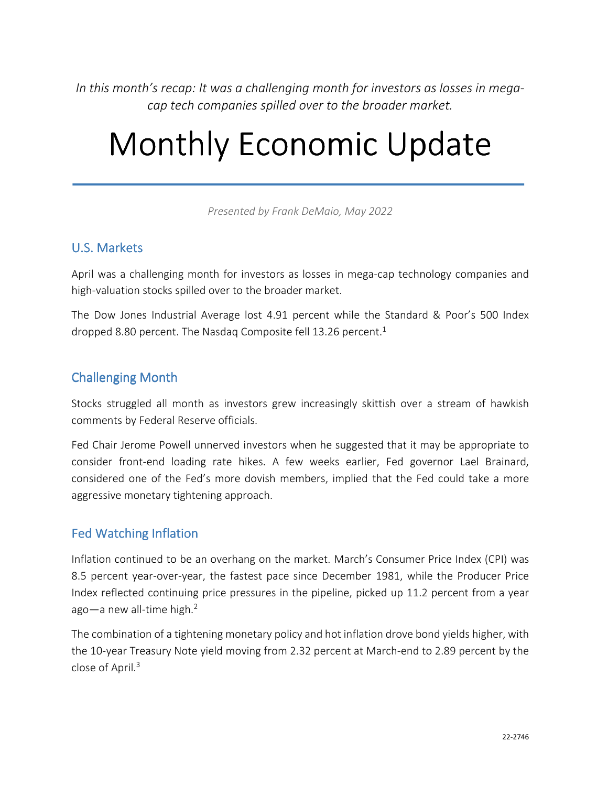*In this month's recap: It was a challenging month for investors as losses in megacap tech companies spilled over to the broader market.* 

# Monthly Economic Update

*Presented by Frank DeMaio, May 2022*

#### U.S. Markets

April was a challenging month for investors as losses in mega-cap technology companies and high-valuation stocks spilled over to the broader market.

The Dow Jones Industrial Average lost 4.91 percent while the Standard & Poor's 500 Index dropped 8.80 percent. The Nasdaq Composite fell 13.26 percent.<sup>1</sup>

#### Challenging Month

Stocks struggled all month as investors grew increasingly skittish over a stream of hawkish comments by Federal Reserve officials.

Fed Chair Jerome Powell unnerved investors when he suggested that it may be appropriate to consider front-end loading rate hikes. A few weeks earlier, Fed governor Lael Brainard, considered one of the Fed's more dovish members, implied that the Fed could take a more aggressive monetary tightening approach.

# **Fed Watching Inflation**

Inflation continued to be an overhang on the market. March's Consumer Price Index (CPI) was 8.5 percent year-over-year, the fastest pace since December 1981, while the Producer Price Index reflected continuing price pressures in the pipeline, picked up 11.2 percent from a year ago—a new all-time high.<sup>2</sup>

The combination of a tightening monetary policy and hot inflation drove bond yields higher, with the 10-year Treasury Note yield moving from 2.32 percent at March-end to 2.89 percent by the close of April.<sup>3</sup>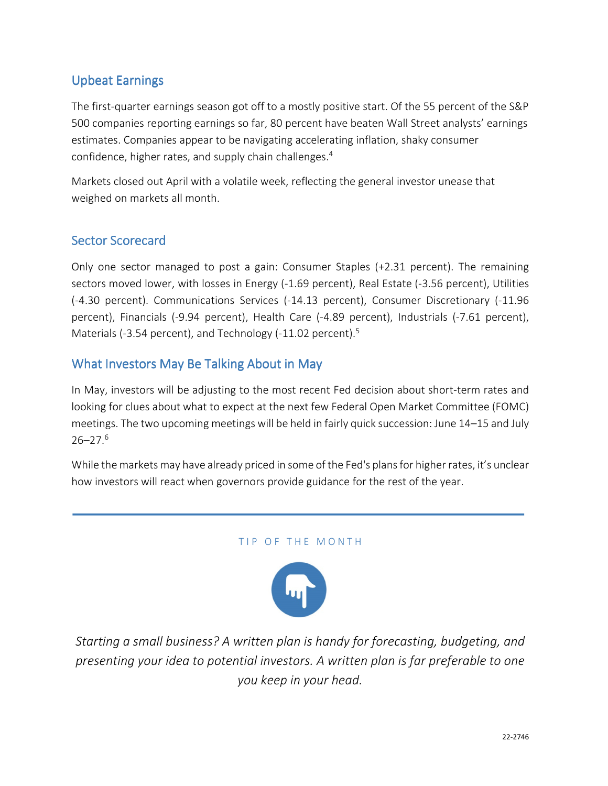# Upbeat Earnings

The first-quarter earnings season got off to a mostly positive start. Of the 55 percent of the S&P 500 companies reporting earnings so far, 80 percent have beaten Wall Street analysts' earnings estimates. Companies appear to be navigating accelerating inflation, shaky consumer confidence, higher rates, and supply chain challenges.<sup>4</sup>

Markets closed out April with a volatile week, reflecting the general investor unease that weighed on markets all month.

## Sector Scorecard

Only one sector managed to post a gain: Consumer Staples (+2.31 percent). The remaining sectors moved lower, with losses in Energy (-1.69 percent), Real Estate (-3.56 percent), Utilities (-4.30 percent). Communications Services (-14.13 percent), Consumer Discretionary (-11.96 percent), Financials (-9.94 percent), Health Care (-4.89 percent), Industrials (-7.61 percent), Materials (-3.54 percent), and Technology (-11.02 percent).<sup>5</sup>

#### What Investors May Be Talking About in May

In May, investors will be adjusting to the most recent Fed decision about short-term rates and looking for clues about what to expect at the next few Federal Open Market Committee (FOMC) meetings. The two upcoming meetings will be held in fairly quick succession: June 14–15 and July 26–27.<sup>6</sup>

While the markets may have already priced in some of the Fed's plans for higher rates, it's unclear how investors will react when governors provide guidance for the rest of the year.

#### TIP OF THE MONTH



*Starting a small business? A written plan is handy for forecasting, budgeting, and presenting your idea to potential investors. A written plan is far preferable to one you keep in your head.*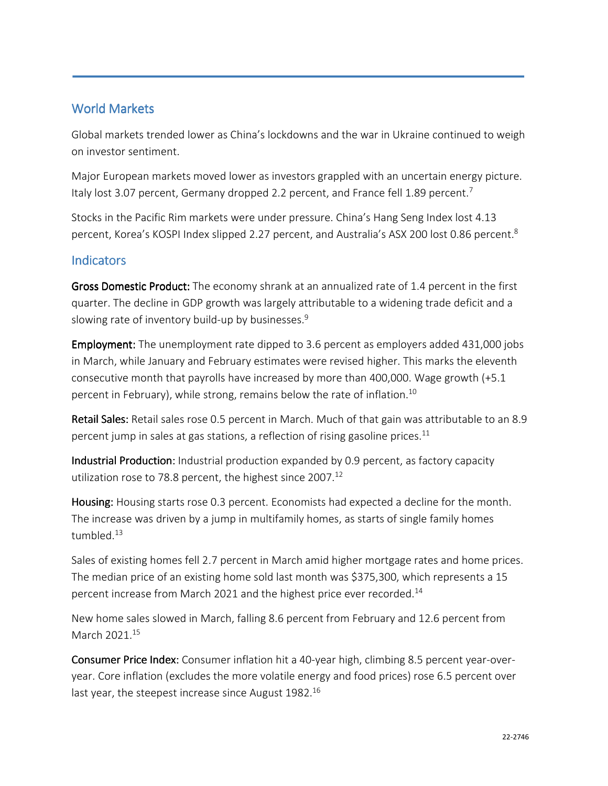### World Markets

Global markets trended lower as China's lockdowns and the war in Ukraine continued to weigh on investor sentiment.

Major European markets moved lower as investors grappled with an uncertain energy picture. Italy lost 3.07 percent, Germany dropped 2.2 percent, and France fell 1.89 percent.<sup>7</sup>

Stocks in the Pacific Rim markets were under pressure. China's Hang Seng Index lost 4.13 percent, Korea's KOSPI Index slipped 2.27 percent, and Australia's ASX 200 lost 0.86 percent.<sup>8</sup>

#### **Indicators**

Gross Domestic Product: The economy shrank at an annualized rate of 1.4 percent in the first quarter. The decline in GDP growth was largely attributable to a widening trade deficit and a slowing rate of inventory build-up by businesses.<sup>9</sup>

**Employment:** The unemployment rate dipped to 3.6 percent as employers added 431,000 jobs in March, while January and February estimates were revised higher. This marks the eleventh consecutive month that payrolls have increased by more than 400,000. Wage growth (+5.1 percent in February), while strong, remains below the rate of inflation.<sup>10</sup>

Retail Sales: Retail sales rose 0.5 percent in March. Much of that gain was attributable to an 8.9 percent jump in sales at gas stations, a reflection of rising gasoline prices.<sup>11</sup>

Industrial Production: Industrial production expanded by 0.9 percent, as factory capacity utilization rose to 78.8 percent, the highest since 2007.<sup>12</sup>

Housing: Housing starts rose 0.3 percent. Economists had expected a decline for the month. The increase was driven by a jump in multifamily homes, as starts of single family homes tumbled<sup>13</sup>

Sales of existing homes fell 2.7 percent in March amid higher mortgage rates and home prices. The median price of an existing home sold last month was \$375,300, which represents a 15 percent increase from March 2021 and the highest price ever recorded.<sup>14</sup>

New home sales slowed in March, falling 8.6 percent from February and 12.6 percent from March 2021.<sup>15</sup>

Consumer Price Index: Consumer inflation hit a 40-year high, climbing 8.5 percent year-overyear. Core inflation (excludes the more volatile energy and food prices) rose 6.5 percent over last year, the steepest increase since August 1982.<sup>16</sup>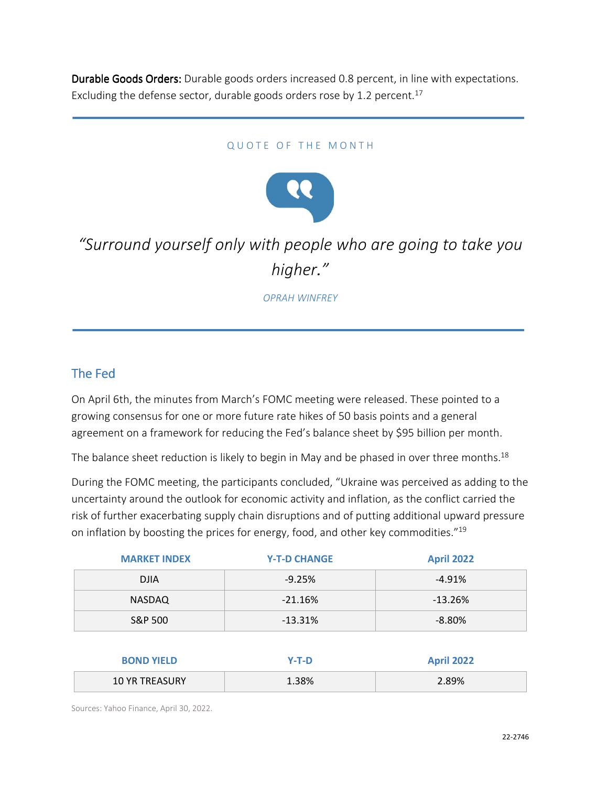Durable Goods Orders: Durable goods orders increased 0.8 percent, in line with expectations. Excluding the defense sector, durable goods orders rose by 1.2 percent.<sup>17</sup>

#### QUOTE OF THE MONTH



# *"Surround yourself only with people who are going to take you higher."*

*OPRAH WINFREY*

#### The Fed

On April 6th, the minutes from March's FOMC meeting were released. These pointed to a growing consensus for one or more future rate hikes of 50 basis points and a general agreement on a framework for reducing the Fed's balance sheet by \$95 billion per month.

The balance sheet reduction is likely to begin in May and be phased in over three months.<sup>18</sup>

During the FOMC meeting, the participants concluded, "Ukraine was perceived as adding to the uncertainty around the outlook for economic activity and inflation, as the conflict carried the risk of further exacerbating supply chain disruptions and of putting additional upward pressure on inflation by boosting the prices for energy, food, and other key commodities."<sup>19</sup>

| <b>MARKET INDEX</b> | <b>Y-T-D CHANGE</b> | <b>April 2022</b> |
|---------------------|---------------------|-------------------|
| <b>DJIA</b>         | $-9.25%$            | $-4.91%$          |
| NASDAQ              | $-21.16%$           | $-13.26%$         |
| S&P 500             | $-13.31%$           | $-8.80%$          |
|                     |                     |                   |

| <b>BOND YIELD</b>     | Y-T-D | <b>April 2022</b> |
|-----------------------|-------|-------------------|
| <b>10 YR TREASURY</b> | 1.38% | 2.89%             |

Sources: Yahoo Finance, April 30, 2022.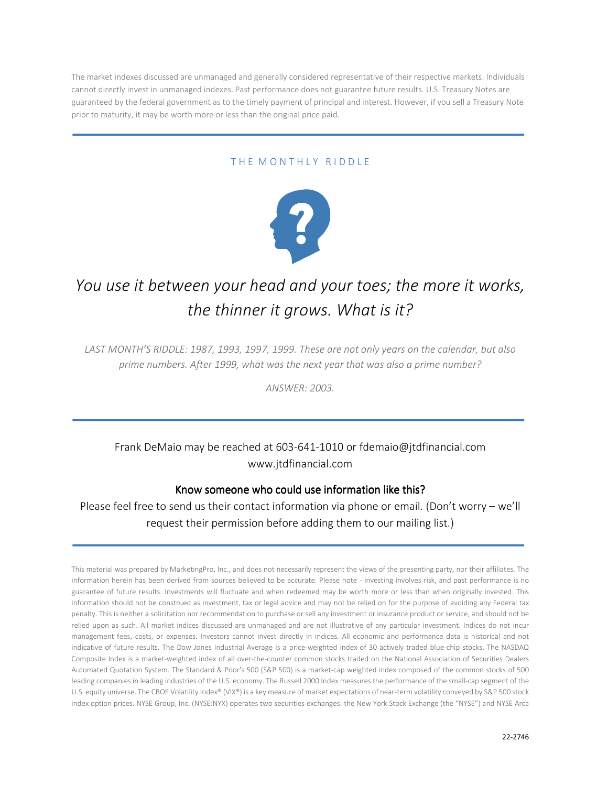The market indexes discussed are unmanaged and generally considered representative of their respective markets. Individuals cannot directly invest in unmanaged indexes. Past performance does not guarantee future results. U.S. Treasury Notes are guaranteed by the federal government as to the timely payment of principal and interest. However, if you sell a Treasury Note prior to maturity, it may be worth more or less than the original price paid.

#### THE MONTHLY RIDDLE



# *You use it between your head and your toes; the more it works, the thinner it grows. What is it?*

*LAST MONTH'S RIDDLE: 1987, 1993, 1997, 1999. These are not only years on the calendar, but also prime numbers. After 1999, what was the next year that was also a prime number?* 

*ANSWER: 2003.* 

# Frank DeMaio may be reached at 603-641-1010 or fdemaio@jtdfinancial.com www.jtdfinancial.com

#### Know someone who could use information like this?

Please feel free to send us their contact information via phone or email. (Don't worry – we'll request their permission before adding them to our mailing list.)

This material was prepared by MarketingPro, Inc., and does not necessarily represent the views of the presenting party, nor their affiliates. The information herein has been derived from sources believed to be accurate. Please note - investing involves risk, and past performance is no guarantee of future results. Investments will fluctuate and when redeemed may be worth more or less than when originally invested. This information should not be construed as investment, tax or legal advice and may not be relied on for the purpose of avoiding any Federal tax penalty. This is neither a solicitation nor recommendation to purchase or sell any investment or insurance product or service, and should not be relied upon as such. All market indices discussed are unmanaged and are not illustrative of any particular investment. Indices do not incur management fees, costs, or expenses. Investors cannot invest directly in indices. All economic and performance data is historical and not indicative of future results. The Dow Jones Industrial Average is a price-weighted index of 30 actively traded blue-chip stocks. The NASDAQ Composite Index is a market-weighted index of all over-the-counter common stocks traded on the National Association of Securities Dealers Automated Quotation System. The Standard & Poor's 500 (S&P 500) is a market-cap weighted index composed of the common stocks of 500 leading companies in leading industries of the U.S. economy. The Russell 2000 Index measures the performance of the small-cap segment of the U.S. equity universe. The CBOE Volatility Index® (VIX®) is a key measure of market expectations of near-term volatility conveyed by S&P 500 stock index option prices. NYSE Group, Inc. (NYSE:NYX) operates two securities exchanges: the New York Stock Exchange (the "NYSE") and NYSE Arca